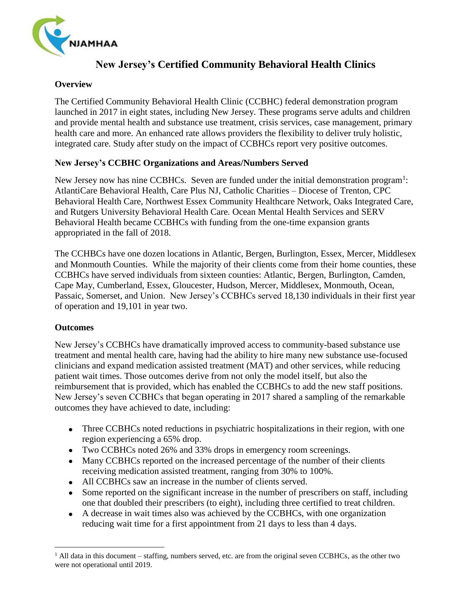

# **New Jersey's Certified Community Behavioral Health Clinics**

#### **Overview**

The Certified Community Behavioral Health Clinic (CCBHC) federal demonstration program launched in 2017 in eight states, including New Jersey. These programs serve adults and children and provide mental health and substance use treatment, crisis services, case management, primary health care and more. An enhanced rate allows providers the flexibility to deliver truly holistic, integrated care. Study after study on the impact of CCBHCs report very positive outcomes.

### **New Jersey's CCBHC Organizations and Areas/Numbers Served**

New Jersey now has nine CCBHCs. Seven are funded under the initial demonstration program<sup>1</sup>: AtlantiCare Behavioral Health, Care Plus NJ, Catholic Charities – Diocese of Trenton, CPC Behavioral Health Care, Northwest Essex Community Healthcare Network, Oaks Integrated Care, and Rutgers University Behavioral Health Care. Ocean Mental Health Services and SERV Behavioral Health became CCBHCs with funding from the one-time expansion grants appropriated in the fall of 2018.

The CCHBCs have one dozen locations in Atlantic, Bergen, Burlington, Essex, Mercer, Middlesex and Monmouth Counties. While the majority of their clients come from their home counties, these CCBHCs have served individuals from sixteen counties: Atlantic, Bergen, Burlington, Camden, Cape May, Cumberland, Essex, Gloucester, Hudson, Mercer, Middlesex, Monmouth, Ocean, Passaic, Somerset, and Union. New Jersey's CCBHCs served 18,130 individuals in their first year of operation and 19,101 in year two.

#### **Outcomes**

 $\overline{a}$ 

New Jersey's CCBHCs have dramatically improved access to community-based substance use treatment and mental health care, having had the ability to hire many new substance use-focused clinicians and expand medication assisted treatment (MAT) and other services, while reducing patient wait times. Those outcomes derive from not only the model itself, but also the reimbursement that is provided, which has enabled the CCBHCs to add the new staff positions. New Jersey's seven CCBHCs that began operating in 2017 shared a sampling of the remarkable outcomes they have achieved to date, including:

- Three CCBHCs noted reductions in psychiatric hospitalizations in their region, with one region experiencing a 65% drop.
- Two CCBHCs noted 26% and 33% drops in emergency room screenings.
- Many CCBHCs reported on the increased percentage of the number of their clients receiving medication assisted treatment, ranging from 30% to 100%.
- All CCBHCs saw an increase in the number of clients served.
- Some reported on the significant increase in the number of prescribers on staff, including one that doubled their prescribers (to eight), including three certified to treat children.
- A decrease in wait times also was achieved by the CCBHCs, with one organization reducing wait time for a first appointment from 21 days to less than 4 days.

 $<sup>1</sup>$  All data in this document – staffing, numbers served, etc. are from the original seven CCBHCs, as the other two</sup> were not operational until 2019.